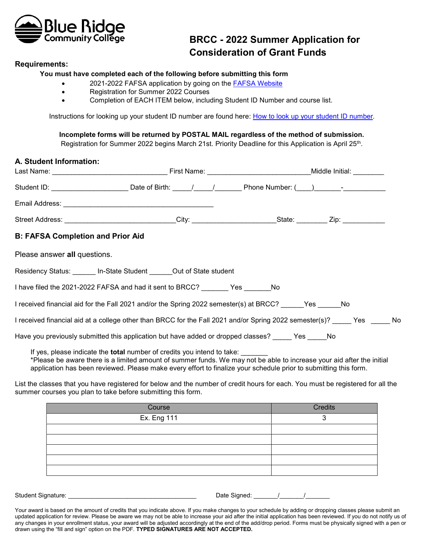

## BRCC - 2022 Summer Application for Consideration of Grant Funds

## Requirements:

You must have completed each of the following before submitting this form

- 2021-2022 FAFSA application by going on the **FAFSA Website**
- Registration for Summer 2022 Courses
- Completion of EACH ITEM below, including Student ID Number and course list.

Instructions for looking up your student ID number are found here: How to look up your student ID number.

 Incomplete forms will be returned by POSTAL MAIL regardless of the method of submission. Registration for Summer 2022 begins March 21st. Priority Deadline for this Application is April 25<sup>th</sup>.

| A. Student Information:                  |                                                                                                                                                                                                                                                                                                                             |  |
|------------------------------------------|-----------------------------------------------------------------------------------------------------------------------------------------------------------------------------------------------------------------------------------------------------------------------------------------------------------------------------|--|
|                                          |                                                                                                                                                                                                                                                                                                                             |  |
|                                          | Student ID: __________________________Date of Birth: _____/_____/________Phone Number: (___)_______-__________                                                                                                                                                                                                              |  |
|                                          |                                                                                                                                                                                                                                                                                                                             |  |
|                                          | Street Address: _____________________________City: ______________________State: __________Zip: _______________                                                                                                                                                                                                              |  |
| <b>B: FAFSA Completion and Prior Aid</b> |                                                                                                                                                                                                                                                                                                                             |  |
| Please answer all questions.             |                                                                                                                                                                                                                                                                                                                             |  |
|                                          | Residency Status: In-State Student Cout of State student                                                                                                                                                                                                                                                                    |  |
|                                          | I have filed the 2021-2022 FAFSA and had it sent to BRCC? ________ Yes _______No                                                                                                                                                                                                                                            |  |
|                                          | I received financial aid for the Fall 2021 and/or the Spring 2022 semester(s) at BRCC? Nes No                                                                                                                                                                                                                               |  |
|                                          | I received financial aid at a college other than BRCC for the Fall 2021 and/or Spring 2022 semester(s)? _____ Yes ______ No                                                                                                                                                                                                 |  |
|                                          | Have you previously submitted this application but have added or dropped classes? _____ Yes _____ No                                                                                                                                                                                                                        |  |
|                                          | If yes, please indicate the <b>total</b> number of credits you intend to take:<br>*Please be aware there is a limited amount of summer funds. We may not be able to increase your aid after the initial<br>application has been reviewed. Please make every effort to finalize your schedule prior to submitting this form. |  |

 List the classes that you have registered for below and the number of credit hours for each. You must be registered for all the summer courses you plan to take before submitting this form.

| Course             | Credits |
|--------------------|---------|
| <b>Ex. Eng 111</b> |         |
|                    |         |
|                    |         |
|                    |         |
|                    |         |
|                    |         |

Student Signature:

Date Signed:  $\overline{\phantom{a}}$  /

 Your award is based on the amount of credits that you indicate above. If you make changes to your schedule by adding or dropping classes please submit an updated application for review. Please be aware we may not be able to increase your aid after the initial application has been reviewed. If you do not notify us of any changes in your enrollment status, your award will be adjusted accordingly at the end of the add/drop period. Forms must be physically signed with a pen or drawn using the "fill and sign" option on the PDF. TYPED SIGNATURES ARE NOT ACCEPTED.